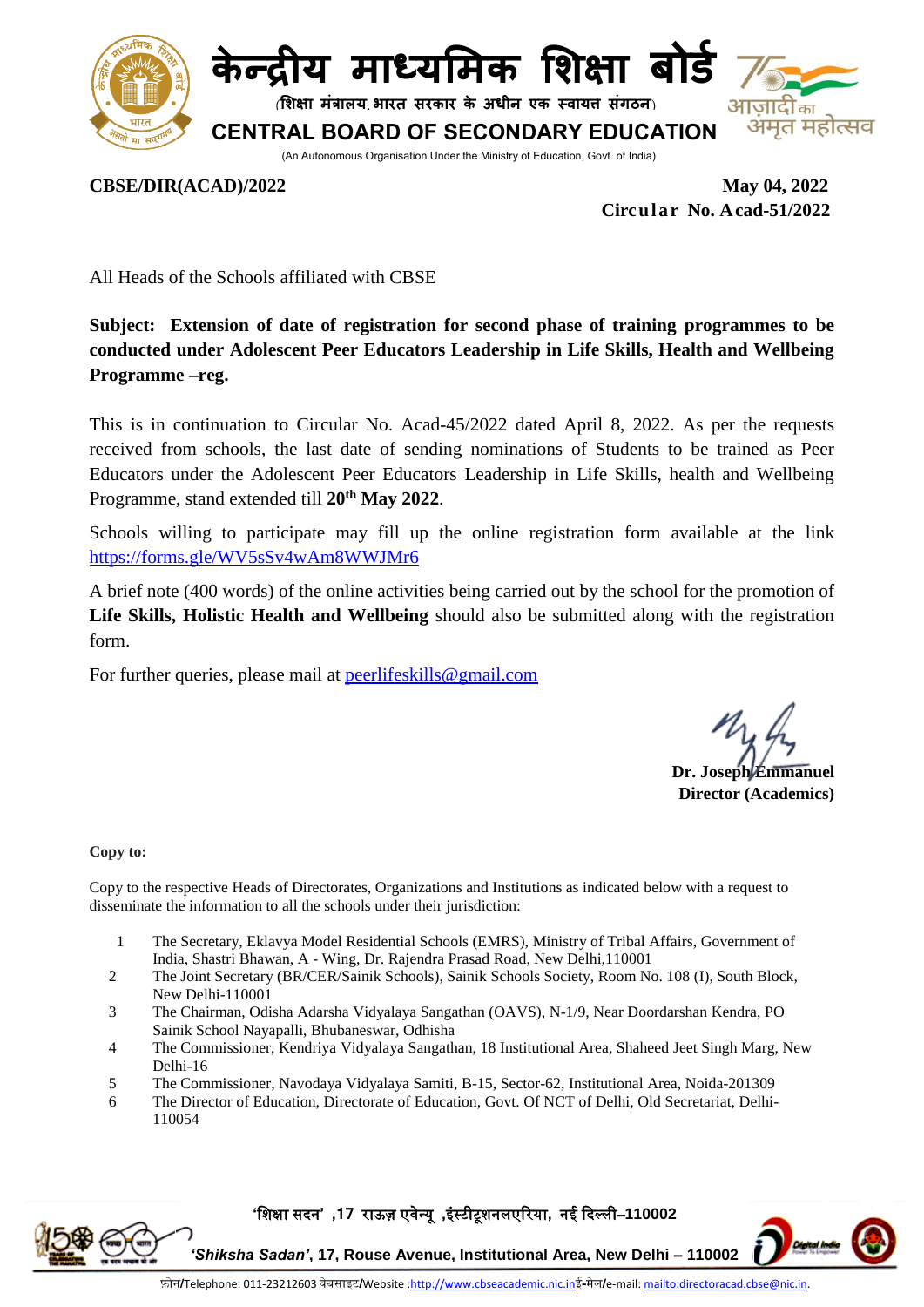



**शिक्षा मंत्रालय भारत सरकार के अधीन एक स्वायत्त संगठन**

**CENTRAL BOARD OF SECONDARY EDUCATION**

मत महोत्सव

(An Autonomous Organisation Under the Ministry of Education, Govt. of India)

**CBSE/DIR(ACAD)/2022 May 04, 2022**

 **Circular No. Acad-51/2022**

All Heads of the Schools affiliated with CBSE

**Subject: Extension of date of registration for second phase of training programmes to be conducted under Adolescent Peer Educators Leadership in Life Skills, Health and Wellbeing Programme –reg.** 

This is in continuation to Circular No. Acad-45/2022 dated April 8, 2022. As per the requests received from schools, the last date of sending nominations of Students to be trained as Peer Educators under the Adolescent Peer Educators Leadership in Life Skills, health and Wellbeing Programme, stand extended till **20th May 2022**.

Schools willing to participate may fill up the online registration form available at the link <https://forms.gle/WV5sSv4wAm8WWJMr6>

A brief note (400 words) of the online activities being carried out by the school for the promotion of **Life Skills, Holistic Health and Wellbeing** should also be submitted along with the registration form.

For further queries, please mail at [peerlifeskills@gmail.com](mailto:peerlifeskills@gmail.com)

**Dr. Joseph Emmanuel Director (Academics)**

**Copy to:**

Copy to the respective Heads of Directorates, Organizations and Institutions as indicated below with a request to disseminate the information to all the schools under their jurisdiction:

- 1 The Secretary, Eklavya Model Residential Schools (EMRS), Ministry of Tribal Affairs, Government of India, Shastri Bhawan, A - Wing, Dr. Rajendra Prasad Road, New [Delhi,110001](http://tribal.gov.in/)
- 2 The Joint Secretary (BR/CER/Sainik Schools), Sainik Schools Society, Room No. 108 (I), South Block, New Delhi-110001
- 3 The Chairman, Odisha Adarsha Vidyalaya Sangathan (OAVS), N-1/9, Near Doordarshan Kendra, PO Sainik School Nayapalli, Bhubaneswar, Odhisha
- 4 The Commissioner, Kendriya Vidyalaya Sangathan, 18 Institutional Area, Shaheed Jeet Singh Marg, New Delhi-16
- 5 The Commissioner, Navodaya Vidyalaya Samiti, B-15, Sector-62, Institutional Area, Noida-201309
- 6 The Director of Education, Directorate of Education, Govt. Of NCT of Delhi, Old Secretariat, Delhi-110054

**'**शिक्षा सदन**' ,17** राऊज़ एवेन्यू **,**इंस्टीटूिनलएररया**,** नई ददल्ली–**110002** 



*'Shiksha Sadan'***, 17, Rouse Avenue, Institutional Area, New Delhi – 110002**